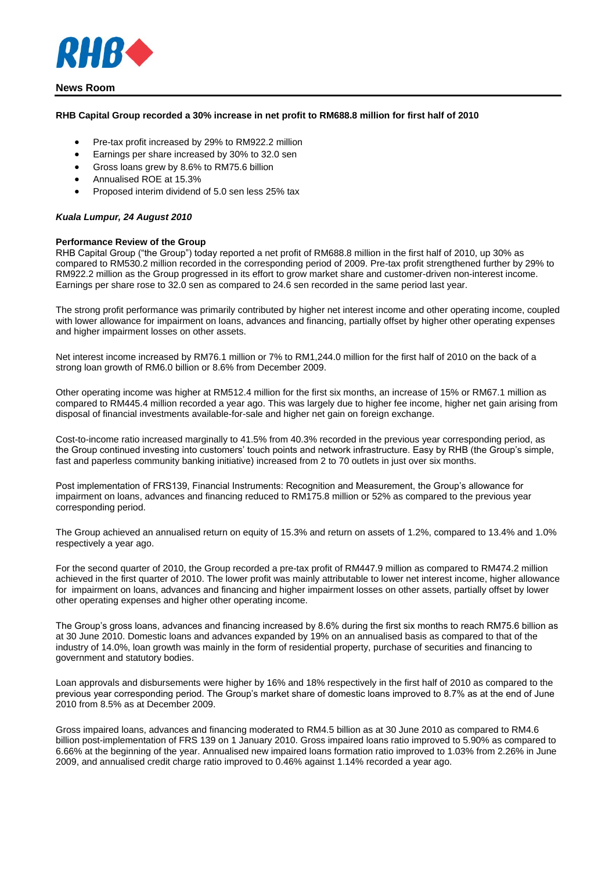

## **News Room**

## **RHB Capital Group recorded a 30% increase in net profit to RM688.8 million for first half of 2010**

- Pre-tax profit increased by 29% to RM922.2 million
- Earnings per share increased by 30% to 32.0 sen
- Gross loans grew by 8.6% to RM75.6 billion
- Annualised ROE at 15.3%
- Proposed interim dividend of 5.0 sen less 25% tax

### *Kuala Lumpur, 24 August 2010*

### **Performance Review of the Group**

RHB Capital Group ("the Group") today reported a net profit of RM688.8 million in the first half of 2010, up 30% as compared to RM530.2 million recorded in the corresponding period of 2009. Pre-tax profit strengthened further by 29% to RM922.2 million as the Group progressed in its effort to grow market share and customer-driven non-interest income. Earnings per share rose to 32.0 sen as compared to 24.6 sen recorded in the same period last year.

The strong profit performance was primarily contributed by higher net interest income and other operating income, coupled with lower allowance for impairment on loans, advances and financing, partially offset by higher other operating expenses and higher impairment losses on other assets.

Net interest income increased by RM76.1 million or 7% to RM1,244.0 million for the first half of 2010 on the back of a strong loan growth of RM6.0 billion or 8.6% from December 2009.

Other operating income was higher at RM512.4 million for the first six months, an increase of 15% or RM67.1 million as compared to RM445.4 million recorded a year ago. This was largely due to higher fee income, higher net gain arising from disposal of financial investments available-for-sale and higher net gain on foreign exchange.

Cost-to-income ratio increased marginally to 41.5% from 40.3% recorded in the previous year corresponding period, as the Group continued investing into customers' touch points and network infrastructure. Easy by RHB (the Group's simple, fast and paperless community banking initiative) increased from 2 to 70 outlets in just over six months.

Post implementation of FRS139, Financial Instruments: Recognition and Measurement, the Group's allowance for impairment on loans, advances and financing reduced to RM175.8 million or 52% as compared to the previous year corresponding period.

The Group achieved an annualised return on equity of 15.3% and return on assets of 1.2%, compared to 13.4% and 1.0% respectively a year ago.

For the second quarter of 2010, the Group recorded a pre-tax profit of RM447.9 million as compared to RM474.2 million achieved in the first quarter of 2010. The lower profit was mainly attributable to lower net interest income, higher allowance for impairment on loans, advances and financing and higher impairment losses on other assets, partially offset by lower other operating expenses and higher other operating income.

The Group's gross loans, advances and financing increased by 8.6% during the first six months to reach RM75.6 billion as at 30 June 2010. Domestic loans and advances expanded by 19% on an annualised basis as compared to that of the industry of 14.0%, loan growth was mainly in the form of residential property, purchase of securities and financing to government and statutory bodies.

Loan approvals and disbursements were higher by 16% and 18% respectively in the first half of 2010 as compared to the previous year corresponding period. The Group's market share of domestic loans improved to 8.7% as at the end of June 2010 from 8.5% as at December 2009.

Gross impaired loans, advances and financing moderated to RM4.5 billion as at 30 June 2010 as compared to RM4.6 billion post-implementation of FRS 139 on 1 January 2010. Gross impaired loans ratio improved to 5.90% as compared to 6.66% at the beginning of the year. Annualised new impaired loans formation ratio improved to 1.03% from 2.26% in June 2009, and annualised credit charge ratio improved to 0.46% against 1.14% recorded a year ago.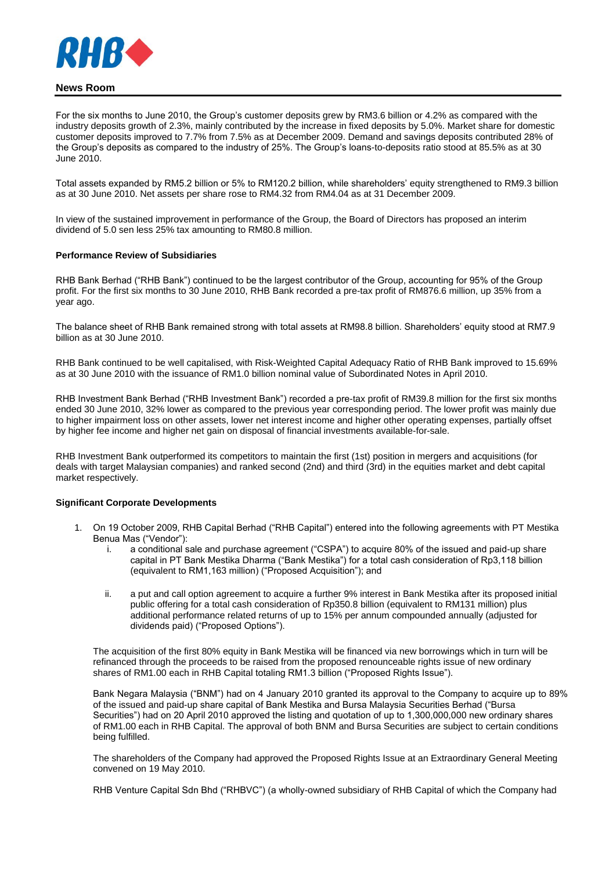

# **News Room**

For the six months to June 2010, the Group's customer deposits grew by RM3.6 billion or 4.2% as compared with the industry deposits growth of 2.3%, mainly contributed by the increase in fixed deposits by 5.0%. Market share for domestic customer deposits improved to 7.7% from 7.5% as at December 2009. Demand and savings deposits contributed 28% of the Group's deposits as compared to the industry of 25%. The Group's loans-to-deposits ratio stood at 85.5% as at 30 June 2010.

Total assets expanded by RM5.2 billion or 5% to RM120.2 billion, while shareholders' equity strengthened to RM9.3 billion as at 30 June 2010. Net assets per share rose to RM4.32 from RM4.04 as at 31 December 2009.

In view of the sustained improvement in performance of the Group, the Board of Directors has proposed an interim dividend of 5.0 sen less 25% tax amounting to RM80.8 million.

### **Performance Review of Subsidiaries**

RHB Bank Berhad ("RHB Bank") continued to be the largest contributor of the Group, accounting for 95% of the Group profit. For the first six months to 30 June 2010, RHB Bank recorded a pre-tax profit of RM876.6 million, up 35% from a year ago.

The balance sheet of RHB Bank remained strong with total assets at RM98.8 billion. Shareholders' equity stood at RM7.9 billion as at 30 June 2010.

RHB Bank continued to be well capitalised, with Risk-Weighted Capital Adequacy Ratio of RHB Bank improved to 15.69% as at 30 June 2010 with the issuance of RM1.0 billion nominal value of Subordinated Notes in April 2010.

RHB Investment Bank Berhad ("RHB Investment Bank") recorded a pre-tax profit of RM39.8 million for the first six months ended 30 June 2010, 32% lower as compared to the previous year corresponding period. The lower profit was mainly due to higher impairment loss on other assets, lower net interest income and higher other operating expenses, partially offset by higher fee income and higher net gain on disposal of financial investments available-for-sale.

RHB Investment Bank outperformed its competitors to maintain the first (1st) position in mergers and acquisitions (for deals with target Malaysian companies) and ranked second (2nd) and third (3rd) in the equities market and debt capital market respectively.

### **Significant Corporate Developments**

- 1. On 19 October 2009, RHB Capital Berhad ("RHB Capital") entered into the following agreements with PT Mestika Benua Mas ("Vendor"):
	- i. a conditional sale and purchase agreement ("CSPA") to acquire 80% of the issued and paid-up share capital in PT Bank Mestika Dharma ("Bank Mestika") for a total cash consideration of Rp3,118 billion (equivalent to RM1,163 million) ("Proposed Acquisition"); and
	- ii. a put and call option agreement to acquire a further 9% interest in Bank Mestika after its proposed initial public offering for a total cash consideration of Rp350.8 billion (equivalent to RM131 million) plus additional performance related returns of up to 15% per annum compounded annually (adjusted for dividends paid) ("Proposed Options").

The acquisition of the first 80% equity in Bank Mestika will be financed via new borrowings which in turn will be refinanced through the proceeds to be raised from the proposed renounceable rights issue of new ordinary shares of RM1.00 each in RHB Capital totaling RM1.3 billion ("Proposed Rights Issue").

Bank Negara Malaysia ("BNM") had on 4 January 2010 granted its approval to the Company to acquire up to 89% of the issued and paid-up share capital of Bank Mestika and Bursa Malaysia Securities Berhad ("Bursa Securities") had on 20 April 2010 approved the listing and quotation of up to 1,300,000,000 new ordinary shares of RM1.00 each in RHB Capital. The approval of both BNM and Bursa Securities are subject to certain conditions being fulfilled.

The shareholders of the Company had approved the Proposed Rights Issue at an Extraordinary General Meeting convened on 19 May 2010.

RHB Venture Capital Sdn Bhd ("RHBVC") (a wholly-owned subsidiary of RHB Capital of which the Company had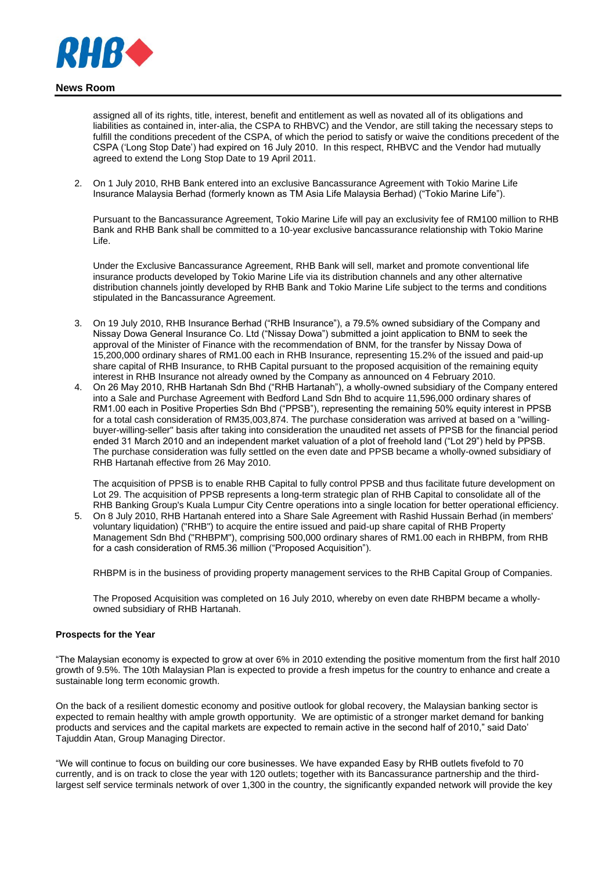

assigned all of its rights, title, interest, benefit and entitlement as well as novated all of its obligations and liabilities as contained in, inter-alia, the CSPA to RHBVC) and the Vendor, are still taking the necessary steps to fulfill the conditions precedent of the CSPA, of which the period to satisfy or waive the conditions precedent of the CSPA ('Long Stop Date') had expired on 16 July 2010. In this respect, RHBVC and the Vendor had mutually agreed to extend the Long Stop Date to 19 April 2011.

2. On 1 July 2010, RHB Bank entered into an exclusive Bancassurance Agreement with Tokio Marine Life Insurance Malaysia Berhad (formerly known as TM Asia Life Malaysia Berhad) ("Tokio Marine Life").

Pursuant to the Bancassurance Agreement, Tokio Marine Life will pay an exclusivity fee of RM100 million to RHB Bank and RHB Bank shall be committed to a 10-year exclusive bancassurance relationship with Tokio Marine Life.

Under the Exclusive Bancassurance Agreement, RHB Bank will sell, market and promote conventional life insurance products developed by Tokio Marine Life via its distribution channels and any other alternative distribution channels jointly developed by RHB Bank and Tokio Marine Life subject to the terms and conditions stipulated in the Bancassurance Agreement.

- 3. On 19 July 2010, RHB Insurance Berhad ("RHB Insurance"), a 79.5% owned subsidiary of the Company and Nissay Dowa General Insurance Co. Ltd ("Nissay Dowa") submitted a joint application to BNM to seek the approval of the Minister of Finance with the recommendation of BNM, for the transfer by Nissay Dowa of 15,200,000 ordinary shares of RM1.00 each in RHB Insurance, representing 15.2% of the issued and paid-up share capital of RHB Insurance, to RHB Capital pursuant to the proposed acquisition of the remaining equity interest in RHB Insurance not already owned by the Company as announced on 4 February 2010.
- 4. On 26 May 2010, RHB Hartanah Sdn Bhd ("RHB Hartanah"), a wholly-owned subsidiary of the Company entered into a Sale and Purchase Agreement with Bedford Land Sdn Bhd to acquire 11,596,000 ordinary shares of RM1.00 each in Positive Properties Sdn Bhd ("PPSB"), representing the remaining 50% equity interest in PPSB for a total cash consideration of RM35,003,874. The purchase consideration was arrived at based on a "willingbuyer-willing-seller" basis after taking into consideration the unaudited net assets of PPSB for the financial period ended 31 March 2010 and an independent market valuation of a plot of freehold land ("Lot 29") held by PPSB. The purchase consideration was fully settled on the even date and PPSB became a wholly-owned subsidiary of RHB Hartanah effective from 26 May 2010.

The acquisition of PPSB is to enable RHB Capital to fully control PPSB and thus facilitate future development on Lot 29. The acquisition of PPSB represents a long-term strategic plan of RHB Capital to consolidate all of the RHB Banking Group's Kuala Lumpur City Centre operations into a single location for better operational efficiency.

5. On 8 July 2010, RHB Hartanah entered into a Share Sale Agreement with Rashid Hussain Berhad (in members' voluntary liquidation) ("RHB") to acquire the entire issued and paid-up share capital of RHB Property Management Sdn Bhd ("RHBPM"), comprising 500,000 ordinary shares of RM1.00 each in RHBPM, from RHB for a cash consideration of RM5.36 million ("Proposed Acquisition").

RHBPM is in the business of providing property management services to the RHB Capital Group of Companies.

The Proposed Acquisition was completed on 16 July 2010, whereby on even date RHBPM became a whollyowned subsidiary of RHB Hartanah.

## **Prospects for the Year**

"The Malaysian economy is expected to grow at over 6% in 2010 extending the positive momentum from the first half 2010 growth of 9.5%. The 10th Malaysian Plan is expected to provide a fresh impetus for the country to enhance and create a sustainable long term economic growth.

On the back of a resilient domestic economy and positive outlook for global recovery, the Malaysian banking sector is expected to remain healthy with ample growth opportunity. We are optimistic of a stronger market demand for banking products and services and the capital markets are expected to remain active in the second half of 2010," said Dato' Tajuddin Atan, Group Managing Director.

"We will continue to focus on building our core businesses. We have expanded Easy by RHB outlets fivefold to 70 currently, and is on track to close the year with 120 outlets; together with its Bancassurance partnership and the thirdlargest self service terminals network of over 1,300 in the country, the significantly expanded network will provide the key